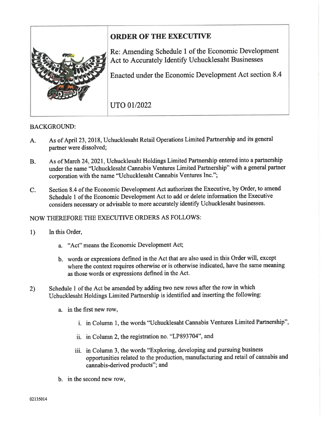# ORDER OF THE EXECUTIVE



Re: Amending Schedule 1 of the Economic Development Act to Accurately Identify Uchucklesaht Businesses

Enacted under the Economic Development Act section 8.4

UTO 01/2022

#### BACKGROUND:

- A. As of April 23, 2018, Uchucklesaht Retail Operations Limited Partnership and its general partner were dissolved;
- B. As of March 24, 2021, Uchucklesaht Holdings Limited Partnership entered into a partnership under the name "Uchucklesaht Cannabis Ventures Limited Partnership" with a general partner corporation with the name "Uchucklesaht Cannabis Ventures Inc.";
- C. Section 8.4 of the Economic Development Act authorizes the Executive, by Order, to amend Schedule 1 of the Economic Development Act to add or delete information the Executive considers necessary or advisable to more accurately identify Uchucklesaht businesses.

#### NOW THEREFORE THE EXECUTIVE ORDERS AS FOLLOWS:

- 1) In this Order,
	- a. "Act" means the Economic Development Act;
	- b. words or expressions defined in the Act that are also used in this Order will, except where the context requires otherwise or is otherwise indicated, have the same meaning as those words or expressions defined in the Act.
- 2) Schedule 1 of the Act be amended by adding two new rows after the row in which Uchucklesaht Holdings Limited Partnership is identified and inserting the following:
	- a. in the first new row,
		- i. in Column 1, the words "Uchucklesaht Cannabis Ventures Limited Partnership",
		- ii. in Column 2, the registration no. "LP893704", and
		- iii. in Column 3, the words "Exploring, developing and pursuing business opportunities related to the production, manufacturing and retail of cannabis and cannabis-derived products"; and
	- b. in the second new row,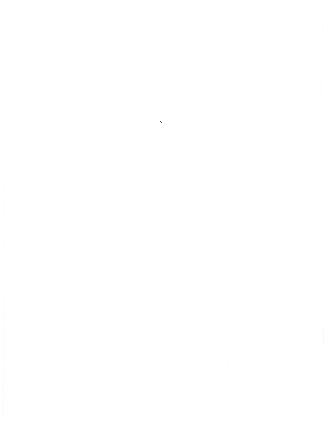$\sim 10^{-11}$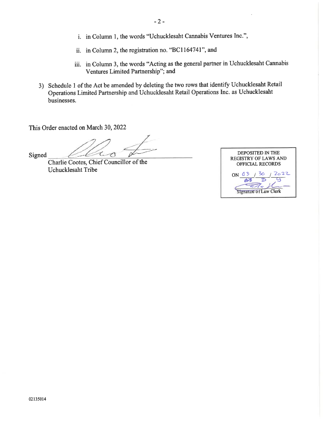- i. in Column 1, the words "Uchucklesaht Cannabis Ventures Inc.",
- ii. in Column 2, the registration no. "BC1164741", and
- iii. in Column 3, the words "Acting as the general partner in Uchucklesaht Cannabis Ventures Limited Partnership"; and
- 3) Schedule 1 of the Act be amended by deleting the two rows that identify Uchucklesaht Retail Operations Limited Partnership and Uchucklesaht Retail Operations Inc. as Uchucklesaht businesses.

This Order enacted on March 30, 2022

**Signed** て

Charlie Cootes, Chief Councillor of the Uchucklesaht Tribe

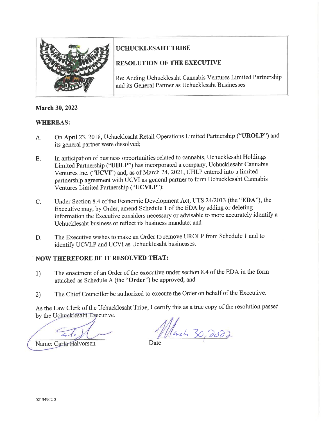

## UCHUCKLESAHT TRIBE

## RESOLUTION OF THE EXECUTIVE

Re: Adding Uchucklesaht Cannabis Ventures Limited Partnership and its General Partner as Uchucklesaht Businesses

#### March 30, 2022

#### WHEREAS:

- A. On April 23, 2018, Uchucklesaht Retail Operations Limited Partnership ("UROLP") and its general partner were dissolved;
- B. In anticipation of business opportunities related to cannabis, Uchucklesaht Holdings Limited Partnership ("UHLP") has incorporated a company, Uchucklesaht Cannabis Ventures Inc. ("UCVI") and, as of March 24, 2021, UHLP entered into a limited partnership agreement with UCVI as general partner to form Uchucklesaht Cannabis Ventures Limited Partnership ("UCVLP");
- C. Under Section 8.4 of the Economic Development Act, UTS 24/2013 (the "EDA"), the Executive may, by Order, amend Schedule 1 of the EDA by adding or deleting information the Executive considers necessary or advisable to more accurately identify a Uchucklesaht business or reflect its business mandate; and
- D. The Executive wishes to make an Order to remove UROLP from Schedule 1 and to identify UCVLP and UCVI as Uchucklesaht businesses.

### NOW THEREFORE BE IT RESOLVED THAT:

- 1) The enactment of an Order of the executive under section 8.4 of the EDA in the fonn attached as Schedule A (the "Order") be approved; and
- 2) The Chief Councillor be authorized to execute the Order on behalf of the Executive.

As the Law Clerk of the Uchucklesaht Tribe, I certify this as a true copy of the resolution passed by the Uchucklesaht Executive.

 $\widehat{\mathcal{C}}$ 

March 30, 2002

Name: Carla Halvorsen

Date